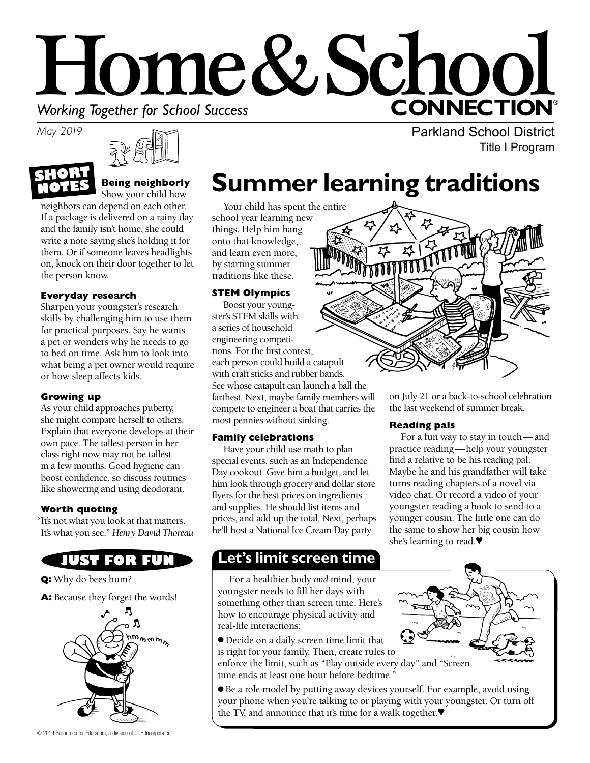# Home&Schoo **CONNECTION® Working Together for School Success**<br>May 2019

*May 2019*

**NOTES**



#### **Being neighborly**  Show your child how **SHORT**

neighbors can depend on each other. If a package is delivered on a rainy day and the family isn't home, she could write a note saying she's holding it for them. Or if someone leaves headlights on, knock on their door together to let the person know.

### **Everyday research**

Sharpen your youngster's research skills by challenging him to use them for practical purposes. Say he wants a pet or wonders why he needs to go to bed on time. Ask him to look into what being a pet owner would require or how sleep affects kids.

### **Growing up**

As your child approaches puberty, she might compare herself to others. Explain that everyone develops at their own pace. The tallest person in her class right now may not be tallest in a few months. Good hygiene can boost confidence, so discuss routines like showering and using deodorant.

### **Worth quoting**

"It's not what you look at that matters. It's what you see." *Henry David Thoreau*

## **JUST FOR FUN**

**Q:** Why do bees hum?

A: Because they forget the words!



© 2019 Resources for Educators, a division of CCH Incorporated

## **Summer learning traditions**

Your child has spent the entire school year learning new things. Help him hang onto that knowledge, and learn even more, by starting summer traditions like these.

### **STEM Olympics**

Boost your youngster's STEM skills with a series of household engineering competitions. For the first contest, each person could build a catapult with craft sticks and rubber bands. See whose catapult can launch a ball the farthest. Next, maybe family members will compete to engineer a boat that carries the most pennies without sinking.

### **Family celebrations**

Have your child use math to plan special events, such as an Independence Day cookout. Give him a budget, and let him look through grocery and dollar store flyers for the best prices on ingredients and supplies. He should list items and prices, and add up the total. Next, perhaps he'll host a National Ice Cream Day party

### **Let's limit screen time**

For a healthier body *and* mind, your youngster needs to fill her days with something other than screen time. Here's how to encourage physical activity and real-life interactions:

● Decide on a daily screen time limit that is right for your family. Then, create rules to



enforce the limit, such as "Play outside every day" and "Screen time ends at least one hour before bedtime."

● Be a role model by putting away devices yourself. For example, avoid using your phone when you're talking to or playing with your youngster. Or turn off the TV, and announce that it's time for a walk together.♥



on July 21 or a back-to-school celebration the last weekend of summer break.

Parkland School District

Title I Program

### **Reading pals**

For a fun way to stay in touch—and practice reading—help your youngster find a relative to be his reading pal. Maybe he and his grandfather will take turns reading chapters of a novel via video chat. Or record a video of your youngster reading a book to send to a younger cousin. The little one can do the same to show her big cousin how she's learning to read.♥